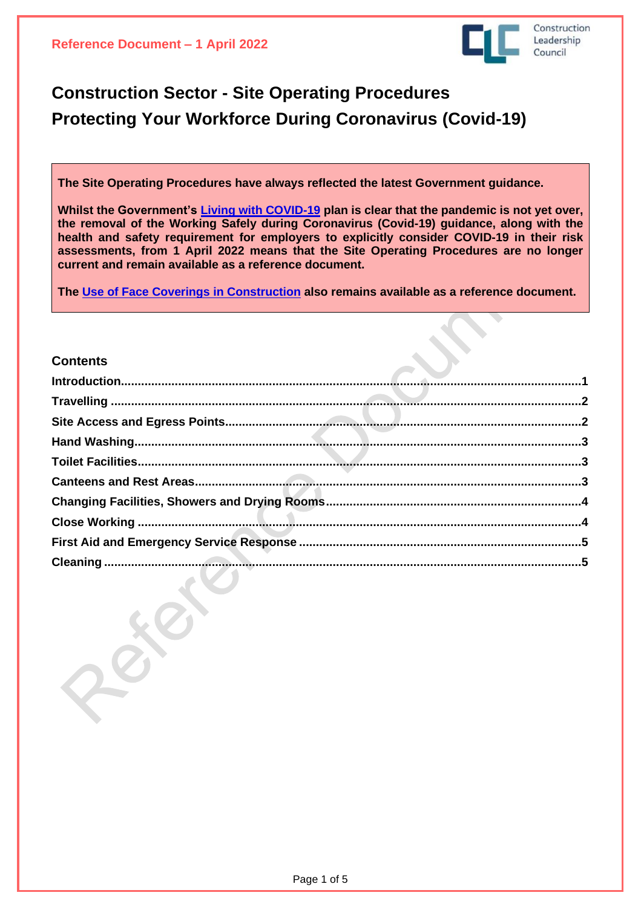

# **Construction Sector - Site Operating Procedures Protecting Your Workforce During Coronavirus (Covid-19)**

**The Site Operating Procedures have always reflected the latest Government guidance.**

**Whilst the Government's Living with [COVID-19](https://assets.publishing.service.gov.uk/government/uploads/system/uploads/attachment_data/file/1056229/COVID-19_Response_-_Living_with_COVID-19.pdf) plan is clear that the pandemic is not yet over, the removal of the Working Safely during Coronavirus (Covid-19) guidance, along with the health and safety requirement for employers to explicitly consider COVID-19 in their risk assessments, from 1 April 2022 means that the Site Operating Procedures are no longer current and remain available as a reference document.**

**The Use of Face Coverings in [Construction](https://www.constructionleadershipcouncil.co.uk/wp-content/uploads/2022/03/The-Use-of-Face-Coverings-in-Construction-during-Coronavirus-Reference-Document.pdf) also remains available as a reference document.** 

### <span id="page-0-0"></span>**Contents**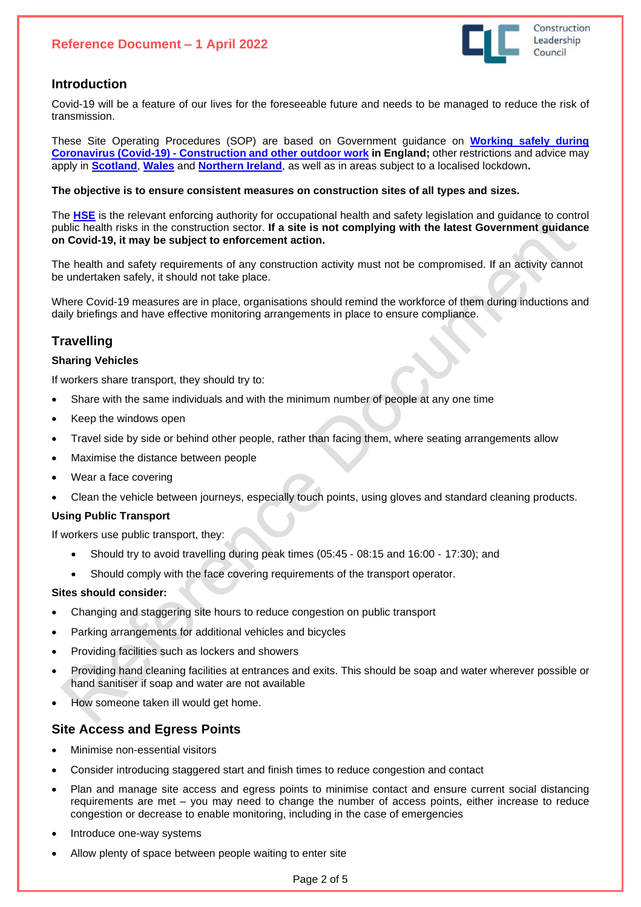## **Reference Document – 1 April 2022**



## **Introduction**

Covid-19 will be a feature of our lives for the foreseeable future and needs to be managed to reduce the risk of transmission.

These Site Operating Procedures (SOP) are based on Government guidance on **[Working](https://www.gov.uk/guidance/working-safely-during-coronavirus-covid-19/construction-and-other-outdoor-work) safely during Coronavirus (Covid-19) - [Construction](https://www.gov.uk/guidance/working-safely-during-coronavirus-covid-19/construction-and-other-outdoor-work) and other outdoor work in England;** other restrictions and advice may apply in **[Scotland](https://cicvforum.co.uk/wp-content/uploads/2021/11/CICV-SOP-Guidance-Book-v8-251121.pdf)**, **[Wales](https://gov.wales/alert-level-2-guidance-employers-businesses-and-organisations-html)** and **[Northern](https://www.nibusinessinfo.co.uk/content/coronavirus-workplace-safety-guidelines-and-social-distancing) Ireland**, as well as in areas subject to a localised lockdown**.**

#### **The objective is to ensure consistent measures on construction sites of all types and sizes.**

The **[HSE](https://www.hse.gov.uk/coronavirus/index.htm)** is the relevant enforcing authority for occupational health and safety legislation and guidance to control public health risks in the construction sector. **If a site is not complying with the latest Government guidance on Covid-19, it may be subject to enforcement action.**

The health and safety requirements of any construction activity must not be compromised. If an activity cannot be undertaken safely, it should not take place.

Where Covid-19 measures are in place, organisations should remind the workforce of them during inductions and daily briefings and have effective monitoring arrangements in place to ensure compliance.

# <span id="page-1-0"></span>**Travelling**

#### **Sharing Vehicles**

If workers share transport, they should try to:

- Share with the same individuals and with the minimum number of people at any one time
- Keep the windows open
- Travel side by side or behind other people, rather than facing them, where seating arrangements allow
- Maximise the distance between people
- Wear a face covering
- Clean the vehicle between journeys, especially touch points, using gloves and standard cleaning products.

#### **Using Public Transport**

If workers use public transport, they:

- Should try to avoid travelling during peak times (05:45 ‐ 08:15 and 16:00 ‐ 17:30); and
- Should comply with the face covering requirements of the transport operator.

#### **Sites should consider:**

- Changing and staggering site hours to reduce congestion on public transport
- Parking arrangements for additional vehicles and bicycles
- Providing facilities such as lockers and showers
- Providing hand cleaning facilities at entrances and exits. This should be soap and water wherever possible or hand sanitiser if soap and water are not available
- How someone taken ill would get home.

## <span id="page-1-1"></span>**Site Access and Egress Points**

- Minimise non-essential visitors
- Consider introducing staggered start and finish times to reduce congestion and contact
- Plan and manage site access and egress points to minimise contact and ensure current social distancing requirements are met – you may need to change the number of access points, either increase to reduce congestion or decrease to enable monitoring, including in the case of emergencies
- Introduce one-way systems
- Allow plenty of space between people waiting to enter site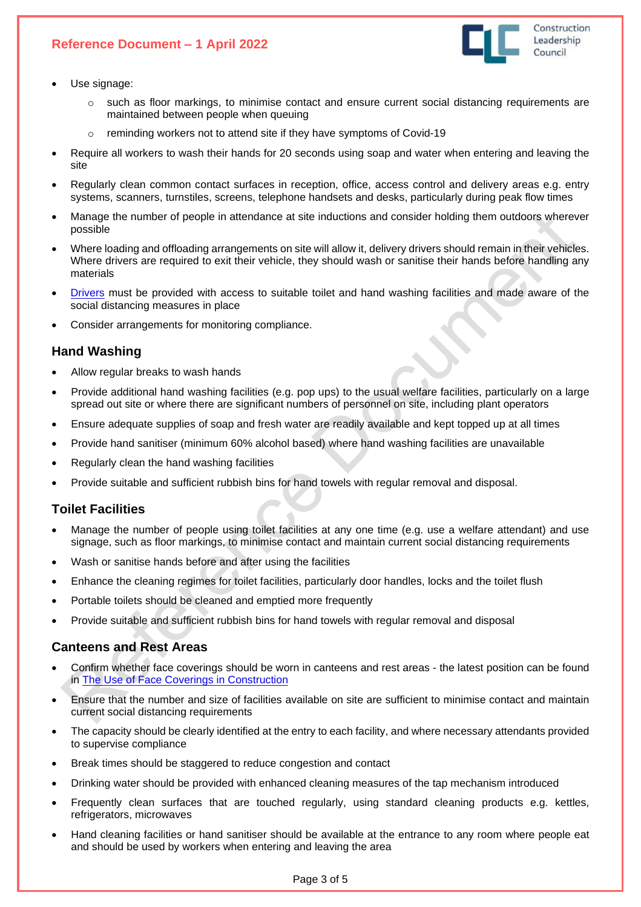

- 
- o such as floor markings, to minimise contact and ensure current social distancing requirements are maintained between people when queuing
- o reminding workers not to attend site if they have symptoms of Covid-19
- Require all workers to wash their hands for 20 seconds using soap and water when entering and leaving the site
- Regularly clean common contact surfaces in reception, office, access control and delivery areas e.g. entry systems, scanners, turnstiles, screens, telephone handsets and desks, particularly during peak flow times
- Manage the number of people in attendance at site inductions and consider holding them outdoors wherever possible
- Where loading and offloading arrangements on site will allow it, delivery drivers should remain in their vehicles. Where drivers are required to exit their vehicle, they should wash or sanitise their hands before handling any materials
- [Drivers](https://www.hse.gov.uk/coronavirus/drivers-transport-delivery.htm) must be provided with access to suitable toilet and hand washing facilities and made aware of the social distancing measures in place
- Consider arrangements for monitoring compliance.

# <span id="page-2-0"></span>**Hand Washing**

Use signage:

- Allow regular breaks to wash hands
- Provide additional hand washing facilities (e.g. pop ups) to the usual welfare facilities, particularly on a large spread out site or where there are significant numbers of personnel on site, including plant operators
- Ensure adequate supplies of soap and fresh water are readily available and kept topped up at all times
- Provide hand sanitiser (minimum 60% alcohol based) where hand washing facilities are unavailable
- Regularly clean the hand washing facilities
- Provide suitable and sufficient rubbish bins for hand towels with regular removal and disposal.

# <span id="page-2-1"></span>**Toilet Facilities**

- Manage the number of people using toilet facilities at any one time (e.g. use a welfare attendant) and use signage, such as floor markings, to minimise contact and maintain current social distancing requirements
- Wash or sanitise hands before and after using the facilities
- Enhance the cleaning regimes for toilet facilities, particularly door handles, locks and the toilet flush
- Portable toilets should be cleaned and emptied more frequently
- Provide suitable and sufficient rubbish bins for hand towels with regular removal and disposal

## <span id="page-2-2"></span>**Canteens and Rest Areas**

- Confirm whether face coverings should be worn in canteens and rest areas the latest position can be found in The Use of Face Coverings in [Construction](https://www.constructionleadershipcouncil.co.uk/wp-content/uploads/2021/12/The-Use-of-Face-Coverings-in-Construction-during-Coronavirus-Version-5.pdf)
- Ensure that the number and size of facilities available on site are sufficient to minimise contact and maintain current social distancing requirements
- The capacity should be clearly identified at the entry to each facility, and where necessary attendants provided to supervise compliance
- Break times should be staggered to reduce congestion and contact
- Drinking water should be provided with enhanced cleaning measures of the tap mechanism introduced
- Frequently clean surfaces that are touched regularly, using standard cleaning products e.g. kettles, refrigerators, microwaves
- Hand cleaning facilities or hand sanitiser should be available at the entrance to any room where people eat and should be used by workers when entering and leaving the area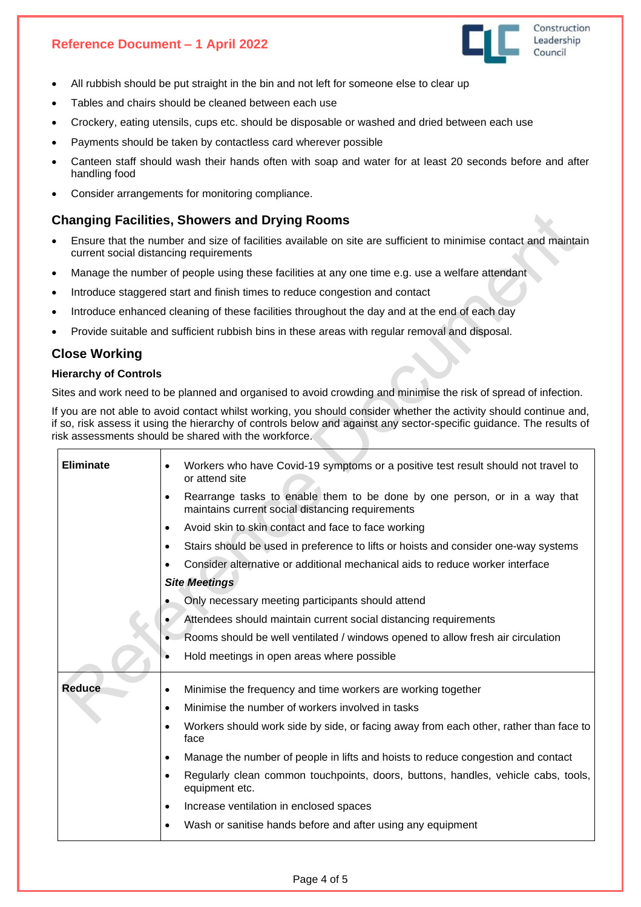

- All rubbish should be put straight in the bin and not left for someone else to clear up
- Tables and chairs should be cleaned between each use
- Crockery, eating utensils, cups etc. should be disposable or washed and dried between each use
- Payments should be taken by contactless card wherever possible
- Canteen staff should wash their hands often with soap and water for at least 20 seconds before and after handling food
- <span id="page-3-0"></span>• Consider arrangements for monitoring compliance.

# **Changing Facilities, Showers and Drying Rooms**

- Ensure that the number and size of facilities available on site are sufficient to minimise contact and maintain current social distancing requirements
- Manage the number of people using these facilities at any one time e.g. use a welfare attendant
- Introduce staggered start and finish times to reduce congestion and contact
- Introduce enhanced cleaning of these facilities throughout the day and at the end of each day
- Provide suitable and sufficient rubbish bins in these areas with regular removal and disposal.

# <span id="page-3-1"></span>**Close Working**

#### **Hierarchy of Controls**

Sites and work need to be planned and organised to avoid crowding and minimise the risk of spread of infection.

If you are not able to avoid contact whilst working, you should consider whether the activity should continue and, if so, risk assess it using the hierarchy of controls below and against any sector-specific guidance. The results of risk assessments should be shared with the workforce.

| <b>Eliminate</b> | Workers who have Covid-19 symptoms or a positive test result should not travel to<br>$\bullet$<br>or attend site                           |  |
|------------------|--------------------------------------------------------------------------------------------------------------------------------------------|--|
|                  | Rearrange tasks to enable them to be done by one person, or in a way that<br>$\bullet$<br>maintains current social distancing requirements |  |
|                  | Avoid skin to skin contact and face to face working<br>٠                                                                                   |  |
|                  | Stairs should be used in preference to lifts or hoists and consider one-way systems<br>٠                                                   |  |
|                  | Consider alternative or additional mechanical aids to reduce worker interface                                                              |  |
|                  | <b>Site Meetings</b>                                                                                                                       |  |
|                  | Only necessary meeting participants should attend                                                                                          |  |
|                  | Attendees should maintain current social distancing requirements                                                                           |  |
|                  | Rooms should be well ventilated / windows opened to allow fresh air circulation                                                            |  |
|                  | Hold meetings in open areas where possible                                                                                                 |  |
| Reduce           | Minimise the frequency and time workers are working together<br>$\bullet$                                                                  |  |
|                  | Minimise the number of workers involved in tasks<br>٠                                                                                      |  |
|                  | Workers should work side by side, or facing away from each other, rather than face to<br>٠<br>face                                         |  |
|                  | Manage the number of people in lifts and hoists to reduce congestion and contact<br>$\bullet$                                              |  |
|                  | Regularly clean common touchpoints, doors, buttons, handles, vehicle cabs, tools,<br>equipment etc.                                        |  |
|                  | Increase ventilation in enclosed spaces<br>$\bullet$                                                                                       |  |
|                  | Wash or sanitise hands before and after using any equipment                                                                                |  |